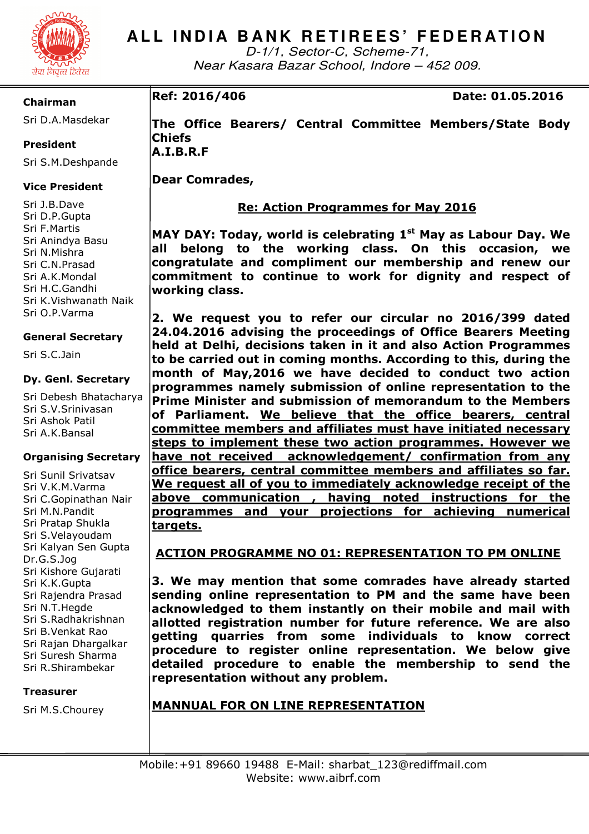

D-1/1, Sector-C, Scheme-71, Near Kasara Bazar School, Indore – 452 009.

# **Chairman**

Sri D.A.Masdekar

# **President**

Sri S.M.Deshpande

# **Vice President**

Sri J.B.Dave Sri D.P.Gupta Sri F.Martis Sri Anindya Basu Sri N.Mishra Sri C.N.Prasad Sri A.K.Mondal Sri H.C.Gandhi Sri K.Vishwanath Naik Sri O.P.Varma

# **General Secretary**

Sri S.C.Jain

## **Dy. Genl. Secretary**

Sri Debesh Bhatacharya Sri S.V.Srinivasan Sri Ashok Patil Sri A.K.Bansal

## **Organising Secretary**

Sri Sunil Srivatsav Sri V.K.M.Varma Sri C.Gopinathan Nair Sri M.N.Pandit Sri Pratap Shukla Sri S.Velayoudam Sri Kalyan Sen Gupta Dr.G.S.Jog Sri Kishore Gujarati Sri K.K.Gupta Sri Rajendra Prasad Sri N.T.Hegde Sri S.Radhakrishnan Sri B.Venkat Rao Sri Rajan Dhargalkar Sri Suresh Sharma Sri R.Shirambekar

## **Treasurer**

Sri M.S.Chourey

**Ref: 2016/406 Date: 01.05.2016** 

**The Office Bearers/ Central Committee Members/State Body Chiefs A.I.B.R.F** 

**Dear Comrades,** 

# **Re: Action Programmes for May 2016**

**MAY DAY: Today, world is celebrating 1st May as Labour Day. We all belong to the working class. On this occasion, we congratulate and compliment our membership and renew our commitment to continue to work for dignity and respect of working class.** 

**2. We request you to refer our circular no 2016/399 dated 24.04.2016 advising the proceedings of Office Bearers Meeting held at Delhi, decisions taken in it and also Action Programmes to be carried out in coming months. According to this, during the month of May,2016 we have decided to conduct two action programmes namely submission of online representation to the Prime Minister and submission of memorandum to the Members of Parliament. We believe that the office bearers, central committee members and affiliates must have initiated necessary steps to implement these two action programmes. However we have not received acknowledgement/ confirmation from any office bearers, central committee members and affiliates so far. We request all of you to immediately acknowledge receipt of the above communication , having noted instructions for the programmes and your projections for achieving numerical targets.** 

# **ACTION PROGRAMME NO 01: REPRESENTATION TO PM ONLINE**

**3. We may mention that some comrades have already started sending online representation to PM and the same have been acknowledged to them instantly on their mobile and mail with allotted registration number for future reference. We are also getting quarries from some individuals to know correct procedure to register online representation. We below give detailed procedure to enable the membership to send the representation without any problem.** 

# **MANNUAL FOR ON LINE REPRESENTATION**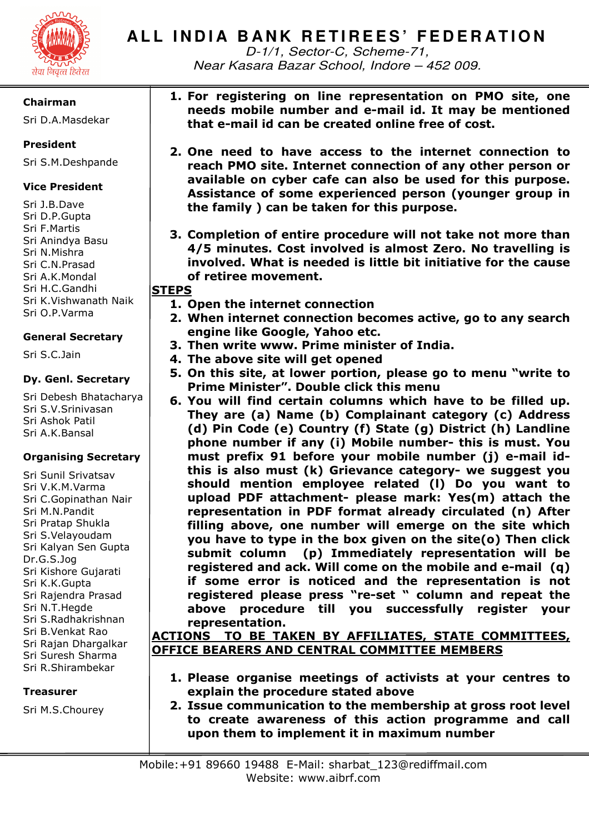

D-1/1, Sector-C, Scheme-71, Near Kasara Bazar School, Indore – 452 009.

# **Chairman**

Sri D.A.Masdekar

# **President**

Sri S.M.Deshpande

# **Vice President**

Sri J.B.Dave Sri D.P.Gupta Sri F.Martis Sri Anindya Basu Sri N.Mishra Sri C.N.Prasad Sri A.K.Mondal Sri H.C.Gandhi Sri K.Vishwanath Naik Sri O.P.Varma

# **General Secretary**

Sri S.C.Jain

# **Dy. Genl. Secretary**

Sri Debesh Bhatacharya Sri S.V.Srinivasan Sri Ashok Patil Sri A.K.Bansal

# **Organising Secretary**

Sri Sunil Srivatsav Sri V.K.M.Varma Sri C.Gopinathan Nair Sri M.N.Pandit Sri Pratap Shukla Sri S.Velayoudam Sri Kalyan Sen Gupta Dr.G.S.Jog Sri Kishore Gujarati Sri K.K.Gupta Sri Rajendra Prasad Sri N.T.Hegde Sri S.Radhakrishnan Sri B.Venkat Rao Sri Rajan Dhargalkar Sri Suresh Sharma Sri R.Shirambekar

# **Treasurer**

Sri M.S.Chourey

- **1. For registering on line representation on PMO site, one needs mobile number and e-mail id. It may be mentioned that e-mail id can be created online free of cost.**
- **2. One need to have access to the internet connection to reach PMO site. Internet connection of any other person or available on cyber cafe can also be used for this purpose. Assistance of some experienced person (younger group in the family ) can be taken for this purpose.**
- **3. Completion of entire procedure will not take not more than 4/5 minutes. Cost involved is almost Zero. No travelling is involved. What is needed is little bit initiative for the cause of retiree movement.**

**STEPS** 

- **1. Open the internet connection**
- **2. When internet connection becomes active, go to any search engine like Google, Yahoo etc.**
- **3. Then write www. Prime minister of India.**
- **4. The above site will get opened**
- **5. On this site, at lower portion, please go to menu "write to Prime Minister". Double click this menu**
- **6. You will find certain columns which have to be filled up. They are (a) Name (b) Complainant category (c) Address (d) Pin Code (e) Country (f) State (g) District (h) Landline phone number if any (i) Mobile number- this is must. You must prefix 91 before your mobile number (j) e-mail idthis is also must (k) Grievance category- we suggest you should mention employee related (l) Do you want to upload PDF attachment- please mark: Yes(m) attach the representation in PDF format already circulated (n) After filling above, one number will emerge on the site which you have to type in the box given on the site(o) Then click submit column (p) Immediately representation will be registered and ack. Will come on the mobile and e-mail (q) if some error is noticed and the representation is not registered please press "re-set " column and repeat the above procedure till you successfully register your representation.**

# **ACTIONS TO BE TAKEN BY AFFILIATES, STATE COMMITTEES, OFFICE BEARERS AND CENTRAL COMMITTEE MEMBERS**

- **1. Please organise meetings of activists at your centres to explain the procedure stated above**
- **2. Issue communication to the membership at gross root level to create awareness of this action programme and call upon them to implement it in maximum number**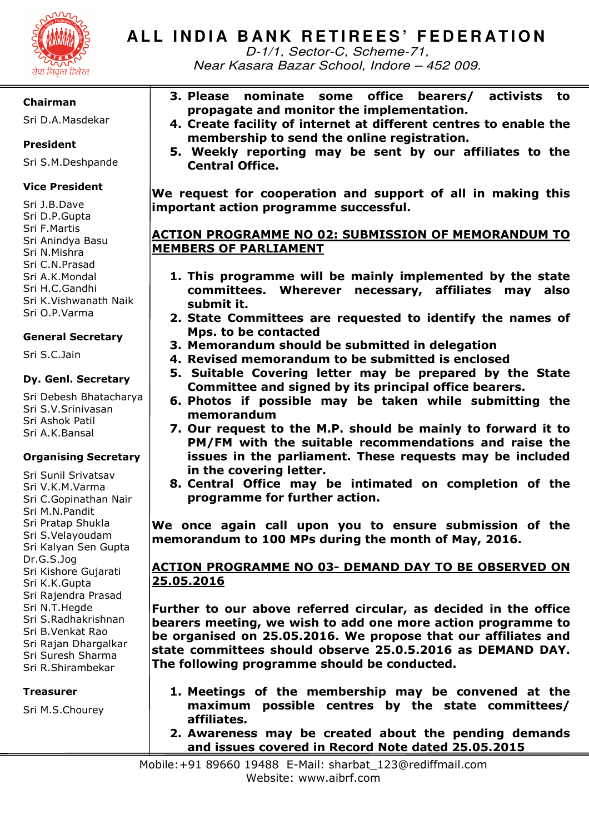

D-1/1, Sector-C, Scheme-71, Near Kasara Bazar School, Indore – 452 009.

## **Chairman**

Sri D.A.Masdekar

# **President**

Sri S.M.Deshpande

# **Vice President**

Sri J.B.Dave Sri D.P.Gupta Sri F.Martis Sri Anindya Basu Sri N.Mishra Sri C.N.Prasad Sri A.K.Mondal Sri H.C.Gandhi Sri K.Vishwanath Naik Sri O.P.Varma

## **General Secretary**

Sri S.C.Jain

## **Dy. Genl. Secretary**

Sri Debesh Bhatacharya Sri S.V.Srinivasan Sri Ashok Patil Sri A.K.Bansal

## **Organising Secretary**

Sri Sunil Srivatsav Sri V.K.M.Varma Sri C.Gopinathan Nair Sri M.N.Pandit Sri Pratap Shukla Sri S.Velayoudam Sri Kalyan Sen Gupta Dr.G.S.Jog Sri Kishore Gujarati Sri K.K.Gupta Sri Rajendra Prasad Sri N.T.Hegde Sri S.Radhakrishnan Sri B.Venkat Rao Sri Rajan Dhargalkar Sri Suresh Sharma Sri R.Shirambekar

## **Treasurer**

Sri M.S.Chourey

- **3. Please nominate some office bearers/ activists to propagate and monitor the implementation.**
- **4. Create facility of internet at different centres to enable the membership to send the online registration.** 
	- **5. Weekly reporting may be sent by our affiliates to the Central Office.**

**We request for cooperation and support of all in making this important action programme successful.** 

# **ACTION PROGRAMME NO 02: SUBMISSION OF MEMORANDUM TO MEMBERS OF PARLIAMENT**

- **1. This programme will be mainly implemented by the state committees. Wherever necessary, affiliates may also submit it.**
- **2. State Committees are requested to identify the names of Mps. to be contacted**
- **3. Memorandum should be submitted in delegation**
- **4. Revised memorandum to be submitted is enclosed**
- **5. Suitable Covering letter may be prepared by the State Committee and signed by its principal office bearers.**
- **6. Photos if possible may be taken while submitting the memorandum**
- **7. Our request to the M.P. should be mainly to forward it to PM/FM with the suitable recommendations and raise the issues in the parliament. These requests may be included in the covering letter.**
- **8. Central Office may be intimated on completion of the programme for further action.**

**We once again call upon you to ensure submission of the memorandum to 100 MPs during the month of May, 2016.** 

# **ACTION PROGRAMME NO 03- DEMAND DAY TO BE OBSERVED ON 25.05.2016**

**Further to our above referred circular, as decided in the office bearers meeting, we wish to add one more action programme to be organised on 25.05.2016. We propose that our affiliates and state committees should observe 25.0.5.2016 as DEMAND DAY. The following programme should be conducted.** 

- **1. Meetings of the membership may be convened at the maximum possible centres by the state committees/ affiliates.**
- **2. Awareness may be created about the pending demands and issues covered in Record Note dated 25.05.2015**